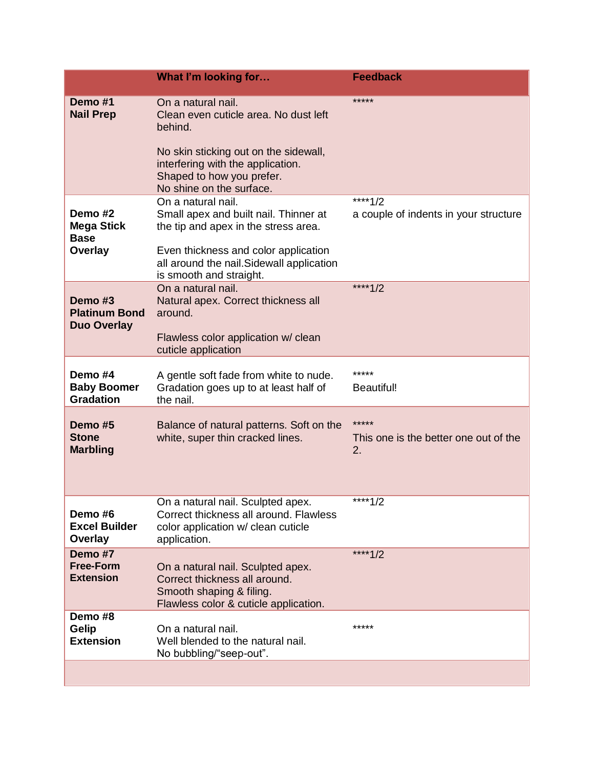|                                                  | What I'm looking for                                                                                                                                                                                          | <b>Feedback</b>                                      |
|--------------------------------------------------|---------------------------------------------------------------------------------------------------------------------------------------------------------------------------------------------------------------|------------------------------------------------------|
| Demo#1<br><b>Nail Prep</b>                       | On a natural nail.<br>Clean even cuticle area. No dust left<br>behind.<br>No skin sticking out on the sidewall,<br>interfering with the application.<br>Shaped to how you prefer.<br>No shine on the surface. | *****                                                |
|                                                  | On a natural nail.                                                                                                                                                                                            | ****1/2                                              |
| Demo #2<br><b>Mega Stick</b><br><b>Base</b>      | Small apex and built nail. Thinner at<br>the tip and apex in the stress area.                                                                                                                                 | a couple of indents in your structure                |
| Overlay                                          | Even thickness and color application<br>all around the nail. Sidewall application<br>is smooth and straight.                                                                                                  |                                                      |
| Demo <sub>#3</sub><br><b>Platinum Bond</b>       | On a natural nail.<br>Natural apex. Correct thickness all<br>around.                                                                                                                                          | ****1/2                                              |
| <b>Duo Overlay</b>                               | Flawless color application w/ clean<br>cuticle application                                                                                                                                                    |                                                      |
| Demo#4<br><b>Baby Boomer</b><br><b>Gradation</b> | A gentle soft fade from white to nude.<br>Gradation goes up to at least half of<br>the nail.                                                                                                                  | *****<br><b>Beautiful!</b>                           |
| Demo #5<br><b>Stone</b><br><b>Marbling</b>       | Balance of natural patterns. Soft on the<br>white, super thin cracked lines.                                                                                                                                  | *****<br>This one is the better one out of the<br>2. |
| Demo#6<br><b>Excel Builder</b><br>Overlay        | On a natural nail. Sculpted apex.<br>Correct thickness all around. Flawless<br>color application w/ clean cuticle<br>application.                                                                             | ****1/2                                              |
| Demo #7<br><b>Free-Form</b><br><b>Extension</b>  | On a natural nail. Sculpted apex.<br>Correct thickness all around.<br>Smooth shaping & filing.<br>Flawless color & cuticle application.                                                                       | ****1/2                                              |
| Demo #8<br>Gelip<br><b>Extension</b>             | On a natural nail.<br>Well blended to the natural nail.<br>No bubbling/"seep-out".                                                                                                                            | *****                                                |
|                                                  |                                                                                                                                                                                                               |                                                      |